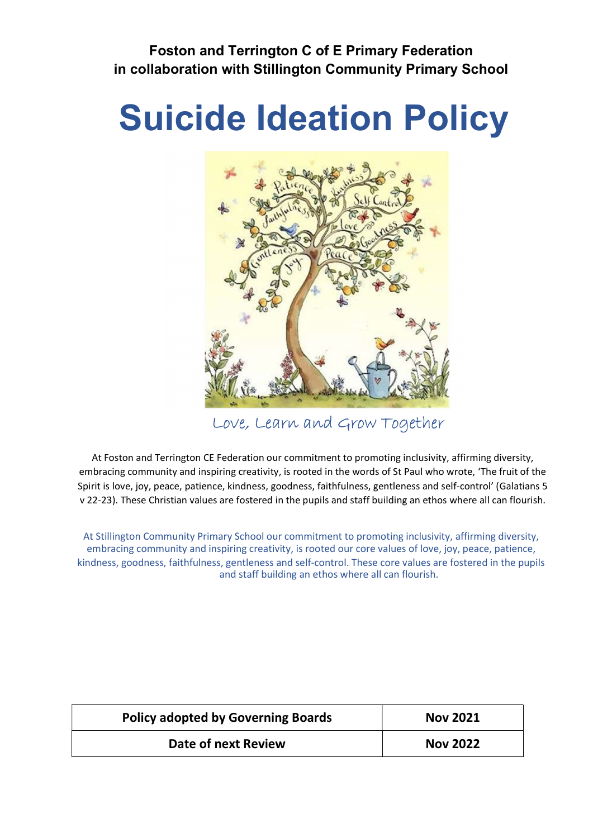# Foston and Terrington C of E Primary Federation in collaboration with Stillington Community Primary School

# Suicide Ideation Policy



Love, Learn and Grow Together

At Foston and Terrington CE Federation our commitment to promoting inclusivity, affirming diversity, embracing community and inspiring creativity, is rooted in the words of St Paul who wrote, 'The fruit of the Spirit is love, joy, peace, patience, kindness, goodness, faithfulness, gentleness and self-control' (Galatians 5 v 22-23). These Christian values are fostered in the pupils and staff building an ethos where all can flourish.

At Stillington Community Primary School our commitment to promoting inclusivity, affirming diversity, embracing community and inspiring creativity, is rooted our core values of love, joy, peace, patience, kindness, goodness, faithfulness, gentleness and self-control. These core values are fostered in the pupils and staff building an ethos where all can flourish.

| <b>Policy adopted by Governing Boards</b> | <b>Nov 2021</b> |
|-------------------------------------------|-----------------|
| Date of next Review                       | <b>Nov 2022</b> |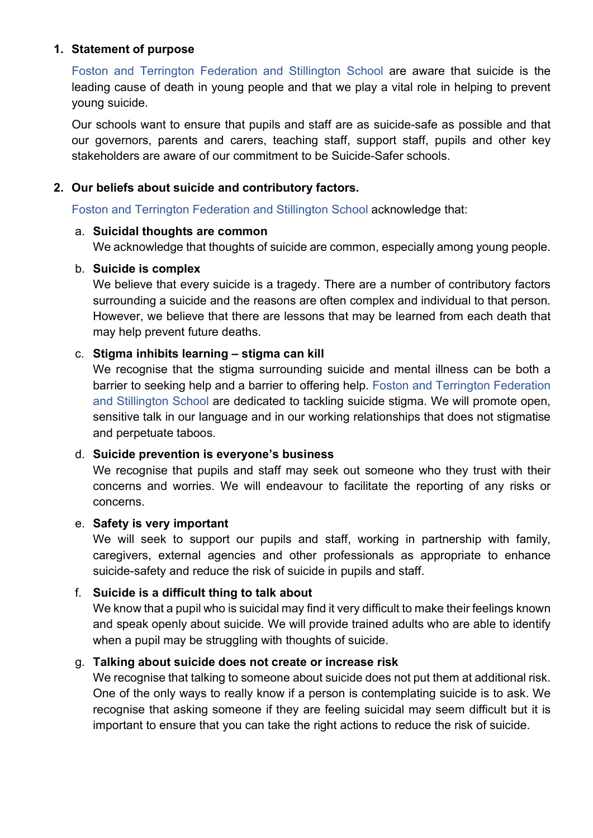### 1. Statement of purpose

Foston and Terrington Federation and Stillington School are aware that suicide is the leading cause of death in young people and that we play a vital role in helping to prevent young suicide.

Our schools want to ensure that pupils and staff are as suicide-safe as possible and that our governors, parents and carers, teaching staff, support staff, pupils and other key stakeholders are aware of our commitment to be Suicide-Safer schools.

#### 2. Our beliefs about suicide and contributory factors.

Foston and Terrington Federation and Stillington School acknowledge that:

#### a. Suicidal thoughts are common

We acknowledge that thoughts of suicide are common, especially among young people.

#### b. Suicide is complex

We believe that every suicide is a tragedy. There are a number of contributory factors surrounding a suicide and the reasons are often complex and individual to that person. However, we believe that there are lessons that may be learned from each death that may help prevent future deaths.

#### c. Stigma inhibits learning – stigma can kill

We recognise that the stigma surrounding suicide and mental illness can be both a barrier to seeking help and a barrier to offering help. Foston and Terrington Federation and Stillington School are dedicated to tackling suicide stigma. We will promote open, sensitive talk in our language and in our working relationships that does not stigmatise and perpetuate taboos.

#### d. Suicide prevention is everyone's business

We recognise that pupils and staff may seek out someone who they trust with their concerns and worries. We will endeavour to facilitate the reporting of any risks or concerns.

#### e. Safety is very important

We will seek to support our pupils and staff, working in partnership with family, caregivers, external agencies and other professionals as appropriate to enhance suicide-safety and reduce the risk of suicide in pupils and staff.

# f. Suicide is a difficult thing to talk about

We know that a pupil who is suicidal may find it very difficult to make their feelings known and speak openly about suicide. We will provide trained adults who are able to identify when a pupil may be struggling with thoughts of suicide.

# g. Talking about suicide does not create or increase risk

We recognise that talking to someone about suicide does not put them at additional risk. One of the only ways to really know if a person is contemplating suicide is to ask. We recognise that asking someone if they are feeling suicidal may seem difficult but it is important to ensure that you can take the right actions to reduce the risk of suicide.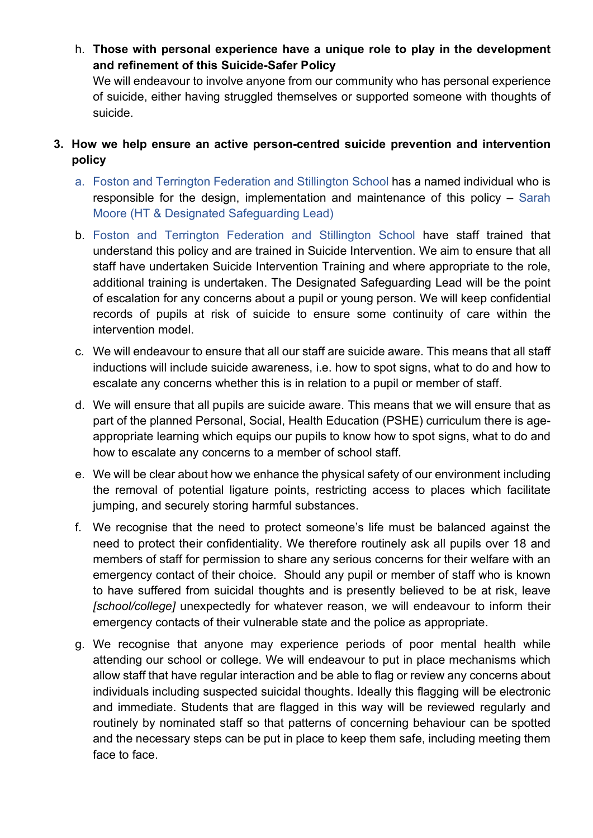h. Those with personal experience have a unique role to play in the development and refinement of this Suicide-Safer Policy

We will endeavour to involve anyone from our community who has personal experience of suicide, either having struggled themselves or supported someone with thoughts of suicide.

- 3. How we help ensure an active person-centred suicide prevention and intervention policy
	- a. Foston and Terrington Federation and Stillington School has a named individual who is responsible for the design, implementation and maintenance of this policy – Sarah Moore (HT & Designated Safeguarding Lead)
	- b. Foston and Terrington Federation and Stillington School have staff trained that understand this policy and are trained in Suicide Intervention. We aim to ensure that all staff have undertaken Suicide Intervention Training and where appropriate to the role, additional training is undertaken. The Designated Safeguarding Lead will be the point of escalation for any concerns about a pupil or young person. We will keep confidential records of pupils at risk of suicide to ensure some continuity of care within the intervention model.
	- c. We will endeavour to ensure that all our staff are suicide aware. This means that all staff inductions will include suicide awareness, i.e. how to spot signs, what to do and how to escalate any concerns whether this is in relation to a pupil or member of staff.
	- d. We will ensure that all pupils are suicide aware. This means that we will ensure that as part of the planned Personal, Social, Health Education (PSHE) curriculum there is ageappropriate learning which equips our pupils to know how to spot signs, what to do and how to escalate any concerns to a member of school staff.
	- e. We will be clear about how we enhance the physical safety of our environment including the removal of potential ligature points, restricting access to places which facilitate jumping, and securely storing harmful substances.
	- f. We recognise that the need to protect someone's life must be balanced against the need to protect their confidentiality. We therefore routinely ask all pupils over 18 and members of staff for permission to share any serious concerns for their welfare with an emergency contact of their choice. Should any pupil or member of staff who is known to have suffered from suicidal thoughts and is presently believed to be at risk, leave [school/college] unexpectedly for whatever reason, we will endeavour to inform their emergency contacts of their vulnerable state and the police as appropriate.
	- g. We recognise that anyone may experience periods of poor mental health while attending our school or college. We will endeavour to put in place mechanisms which allow staff that have regular interaction and be able to flag or review any concerns about individuals including suspected suicidal thoughts. Ideally this flagging will be electronic and immediate. Students that are flagged in this way will be reviewed regularly and routinely by nominated staff so that patterns of concerning behaviour can be spotted and the necessary steps can be put in place to keep them safe, including meeting them face to face.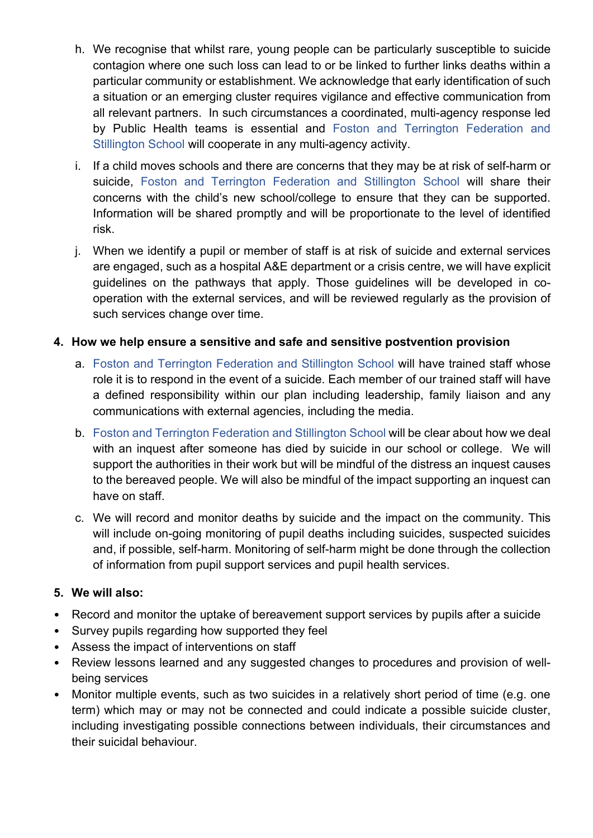- h. We recognise that whilst rare, young people can be particularly susceptible to suicide contagion where one such loss can lead to or be linked to further links deaths within a particular community or establishment. We acknowledge that early identification of such a situation or an emerging cluster requires vigilance and effective communication from all relevant partners. In such circumstances a coordinated, multi-agency response led by Public Health teams is essential and Foston and Terrington Federation and Stillington School will cooperate in any multi-agency activity.
- i. If a child moves schools and there are concerns that they may be at risk of self-harm or suicide, Foston and Terrington Federation and Stillington School will share their concerns with the child's new school/college to ensure that they can be supported. Information will be shared promptly and will be proportionate to the level of identified risk.
- j. When we identify a pupil or member of staff is at risk of suicide and external services are engaged, such as a hospital A&E department or a crisis centre, we will have explicit guidelines on the pathways that apply. Those guidelines will be developed in cooperation with the external services, and will be reviewed regularly as the provision of such services change over time.

#### 4. How we help ensure a sensitive and safe and sensitive postvention provision

- a. Foston and Terrington Federation and Stillington School will have trained staff whose role it is to respond in the event of a suicide. Each member of our trained staff will have a defined responsibility within our plan including leadership, family liaison and any communications with external agencies, including the media.
- b. Foston and Terrington Federation and Stillington School will be clear about how we deal with an inquest after someone has died by suicide in our school or college. We will support the authorities in their work but will be mindful of the distress an inquest causes to the bereaved people. We will also be mindful of the impact supporting an inquest can have on staff.
- c. We will record and monitor deaths by suicide and the impact on the community. This will include on-going monitoring of pupil deaths including suicides, suspected suicides and, if possible, self-harm. Monitoring of self-harm might be done through the collection of information from pupil support services and pupil health services.

#### 5. We will also:

- Record and monitor the uptake of bereavement support services by pupils after a suicide
- Survey pupils regarding how supported they feel
- Assess the impact of interventions on staff
- Review lessons learned and any suggested changes to procedures and provision of wellbeing services
- Monitor multiple events, such as two suicides in a relatively short period of time (e.g. one term) which may or may not be connected and could indicate a possible suicide cluster, including investigating possible connections between individuals, their circumstances and their suicidal behaviour.